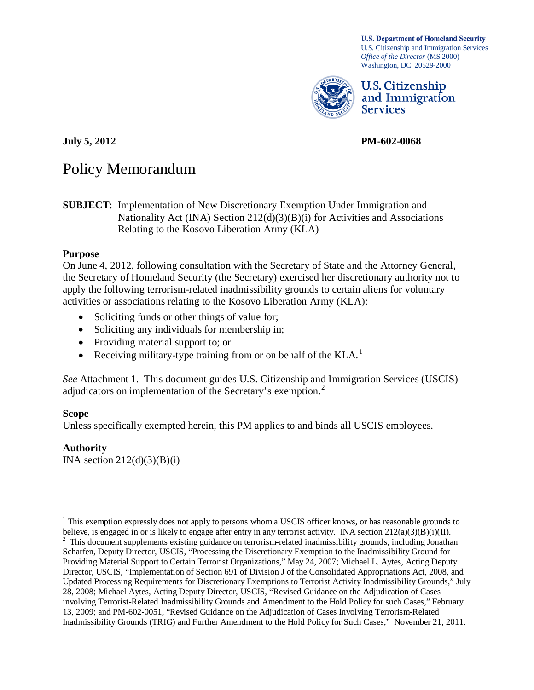**U.S. Department of Homeland Security** U.S. Citizenship and Immigration Services *Office of the Director* (MS 2000) Washington, DC 20529-2000



U.S. Citizenship and Immigration **Services** 

**July 5, 2012 PM-602-0068**

# Policy Memorandum

**SUBJECT**: Implementation of New Discretionary Exemption Under Immigration and Nationality Act (INA) Section 212(d)(3)(B)(i) for Activities and Associations Relating to the Kosovo Liberation Army (KLA)

#### **Purpose**

On June 4, 2012, following consultation with the Secretary of State and the Attorney General, the Secretary of Homeland Security (the Secretary) exercised her discretionary authority not to apply the following terrorism-related inadmissibility grounds to certain aliens for voluntary activities or associations relating to the Kosovo Liberation Army (KLA):

- Soliciting funds or other things of value for;
- Soliciting any individuals for membership in;
- Providing material support to; or
- Receiving military-type training from or on behalf of the  $KLA$ <sup>[1](#page-0-0)</sup>

*See* Attachment 1. This document guides U.S. Citizenship and Immigration Services (USCIS) adjudicators on implementation of the Secretary's exemption.<sup>[2](#page-0-1)</sup>

## **Scope**

Unless specifically exempted herein, this PM applies to and binds all USCIS employees.

#### **Authority**

INA section  $212(d)(3)(B)(i)$ 

<span id="page-0-0"></span><sup>&</sup>lt;sup>1</sup> This exemption expressly does not apply to persons whom a USCIS officer knows, or has reasonable grounds to believe, is engaged in or is likely to engage after entry in any terrorist activity. INA section  $212(a)(3)(B)(i)(II)$ .

<span id="page-0-1"></span><sup>&</sup>lt;sup>2</sup> This document supplements existing guidance on terrorism-related inadmissibility grounds, including Jonathan Scharfen, Deputy Director, USCIS, "Processing the Discretionary Exemption to the Inadmissibility Ground for Providing Material Support to Certain Terrorist Organizations," May 24, 2007; Michael L. Aytes, Acting Deputy Director, USCIS, "Implementation of Section 691 of Division J of the Consolidated Appropriations Act, 2008, and Updated Processing Requirements for Discretionary Exemptions to Terrorist Activity Inadmissibility Grounds," July 28, 2008; Michael Aytes, Acting Deputy Director, USCIS, "Revised Guidance on the Adjudication of Cases involving Terrorist-Related Inadmissibility Grounds and Amendment to the Hold Policy for such Cases," February 13, 2009; and PM-602-0051, "Revised Guidance on the Adjudication of Cases Involving Terrorism-Related Inadmissibility Grounds (TRIG) and Further Amendment to the Hold Policy for Such Cases," November 21, 2011.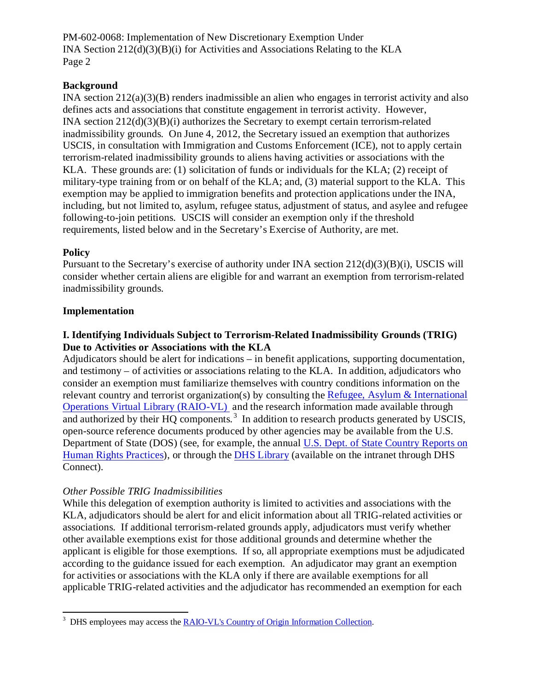#### **Background**

INA section 212(a)(3)(B) renders inadmissible an alien who engages in terrorist activity and also defines acts and associations that constitute engagement in terrorist activity. However, INA section 212(d)(3)(B)(i) authorizes the Secretary to exempt certain terrorism-related inadmissibility grounds. On June 4, 2012, the Secretary issued an exemption that authorizes USCIS, in consultation with Immigration and Customs Enforcement (ICE), not to apply certain terrorism-related inadmissibility grounds to aliens having activities or associations with the KLA. These grounds are: (1) solicitation of funds or individuals for the KLA; (2) receipt of military-type training from or on behalf of the KLA; and, (3) material support to the KLA. This exemption may be applied to immigration benefits and protection applications under the INA, including, but not limited to, asylum, refugee status, adjustment of status, and asylee and refugee following-to-join petitions. USCIS will consider an exemption only if the threshold requirements, listed below and in the Secretary's Exercise of Authority, are met.

#### **Policy**

Pursuant to the Secretary's exercise of authority under INA section 212(d)(3)(B)(i), USCIS will consider whether certain aliens are eligible for and warrant an exemption from terrorism-related inadmissibility grounds.

#### **Implementation**

#### **I. Identifying Individuals Subject to Terrorism-Related Inadmissibility Grounds (TRIG) Due to Activities or Associations with the KLA**

Adjudicators should be alert for indications – in benefit applications, supporting documentation, and testimony – of activities or associations relating to the KLA. In addition, adjudicators who consider an exemption must familiarize themselves with country conditions information on the relevant country and terrorist organization(s) by consulting the [Refugee, Asylum & International](http://z02rsccow12:8080/docushare/dsweb/View/Collection-767)  [Operations Virtual Library \(RAIO-VL\)](http://z02rsccow12:8080/docushare/dsweb/View/Collection-767) and the research information made available through and authorized by their HQ components.<sup>[3](#page-1-0)</sup> In addition to research products generated by USCIS, open-source reference documents produced by other agencies may be available from the U.S. Department of State (DOS) (see, for example, the annual [U.S. Dept. of State Country Reports on](http://www.state.gov/g/drl/rls/hrrpt/2009/index.htm)  [Human Rights Practices\)](http://www.state.gov/g/drl/rls/hrrpt/2009/index.htm), or through the [DHS Library](http://dhsconnect.dhs.gov/org/comp/mgmt/cao/rpm/Pages/DHSLibrary.aspx) (available on the intranet through DHS Connect).

#### *Other Possible TRIG Inadmissibilities*

While this delegation of exemption authority is limited to activities and associations with the KLA, adjudicators should be alert for and elicit information about all TRIG-related activities or associations. If additional terrorism-related grounds apply, adjudicators must verify whether other available exemptions exist for those additional grounds and determine whether the applicant is eligible for those exemptions. If so, all appropriate exemptions must be adjudicated according to the guidance issued for each exemption. An adjudicator may grant an exemption for activities or associations with the KLA only if there are available exemptions for all applicable TRIG-related activities and the adjudicator has recommended an exemption for each

<span id="page-1-0"></span> $\frac{1}{3}$ <sup>3</sup> DHS employees may access the [RAIO-VL's Country of Origin Information Collection.](http://z02rsccow12:8080/docushare/dsweb)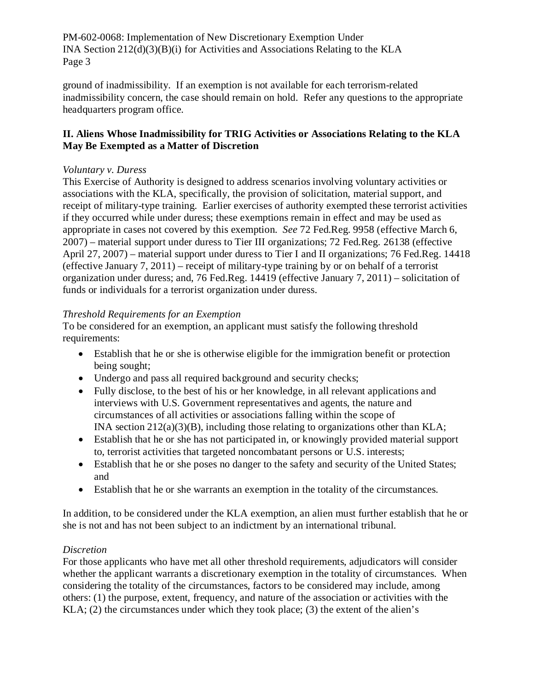ground of inadmissibility. If an exemption is not available for each terrorism-related inadmissibility concern, the case should remain on hold. Refer any questions to the appropriate headquarters program office.

## **II. Aliens Whose Inadmissibility for TRIG Activities or Associations Relating to the KLA May Be Exempted as a Matter of Discretion**

## *Voluntary v. Duress*

This Exercise of Authority is designed to address scenarios involving voluntary activities or associations with the KLA, specifically, the provision of solicitation, material support, and receipt of military-type training. Earlier exercises of authority exempted these terrorist activities if they occurred while under duress; these exemptions remain in effect and may be used as appropriate in cases not covered by this exemption. *See* 72 Fed.Reg. 9958 (effective March 6, 2007) – material support under duress to Tier III organizations; 72 Fed.Reg. 26138 (effective April 27, 2007) – material support under duress to Tier I and II organizations; 76 Fed.Reg. 14418 (effective January 7, 2011) – receipt of military-type training by or on behalf of a terrorist organization under duress; and, 76 Fed.Reg. 14419 (effective January 7, 2011) – solicitation of funds or individuals for a terrorist organization under duress.

## *Threshold Requirements for an Exemption*

To be considered for an exemption, an applicant must satisfy the following threshold requirements:

- Establish that he or she is otherwise eligible for the immigration benefit or protection being sought;
- Undergo and pass all required background and security checks;
- Fully disclose, to the best of his or her knowledge, in all relevant applications and interviews with U.S. Government representatives and agents, the nature and circumstances of all activities or associations falling within the scope of INA section 212(a)(3)(B), including those relating to organizations other than KLA;
- Establish that he or she has not participated in, or knowingly provided material support to, terrorist activities that targeted noncombatant persons or U.S. interests;
- Establish that he or she poses no danger to the safety and security of the United States; and
- Establish that he or she warrants an exemption in the totality of the circumstances.

In addition, to be considered under the KLA exemption, an alien must further establish that he or she is not and has not been subject to an indictment by an international tribunal.

## *Discretion*

For those applicants who have met all other threshold requirements, adjudicators will consider whether the applicant warrants a discretionary exemption in the totality of circumstances. When considering the totality of the circumstances, factors to be considered may include, among others: (1) the purpose, extent, frequency, and nature of the association or activities with the KLA; (2) the circumstances under which they took place; (3) the extent of the alien's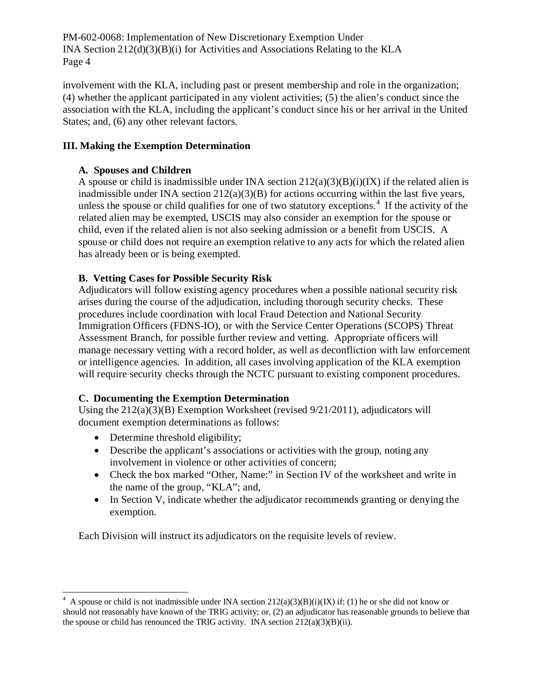involvement with the KLA, including past or present membership and role in the organization; (4) whether the applicant participated in any violent activities; (5) the alien's conduct since the association with the KLA, including the applicant's conduct since his or her arrival in the United States; and, (6) any other relevant factors.

### **III. Making the Exemption Determination**

## **A. Spouses and Children**

A spouse or child is inadmissible under INA section  $212(a)(3)(B)(i)(IX)$  if the related alien is inadmissible under INA section  $212(a)(3)(B)$  for actions occurring within the last five years, unless the spouse or child qualifies for one of two statutory exceptions.<sup>[4](#page-3-0)</sup> If the activity of the related alien may be exempted, USCIS may also consider an exemption for the spouse or child, even if the related alien is not also seeking admission or a benefit from USCIS. A spouse or child does not require an exemption relative to any acts for which the related alien has already been or is being exempted.

## **B. Vetting Cases for Possible Security Risk**

Adjudicators will follow existing agency procedures when a possible national security risk arises during the course of the adjudication, including thorough security checks. These procedures include coordination with local Fraud Detection and National Security Immigration Officers (FDNS-IO), or with the Service Center Operations (SCOPS) Threat Assessment Branch, for possible further review and vetting. Appropriate officers will manage necessary vetting with a record holder, as well as deconfliction with law enforcement or intelligence agencies. In addition, all cases involving application of the KLA exemption will require security checks through the NCTC pursuant to existing component procedures.

## **C. Documenting the Exemption Determination**

Using the  $212(a)(3)(B)$  Exemption Worksheet (revised  $9/21/2011$ ), adjudicators will document exemption determinations as follows:

- Determine threshold eligibility;
- Describe the applicant's associations or activities with the group, noting any involvement in violence or other activities of concern;
- Check the box marked "Other, Name:" in Section IV of the worksheet and write in the name of the group, "KLA"; and,
- In Section V, indicate whether the adjudicator recommends granting or denying the exemption.

Each Division will instruct its adjudicators on the requisite levels of review.

<span id="page-3-0"></span> $\frac{1}{4}$ <sup>4</sup> A spouse or child is not inadmissible under INA section  $212(a)(3)(B)(i)(IX)$  if: (1) he or she did not know or should not reasonably have known of the TRIG activity; or, (2) an adjudicator has reasonable grounds to believe that the spouse or child has renounced the TRIG activity. INA section 212(a)(3)(B)(ii).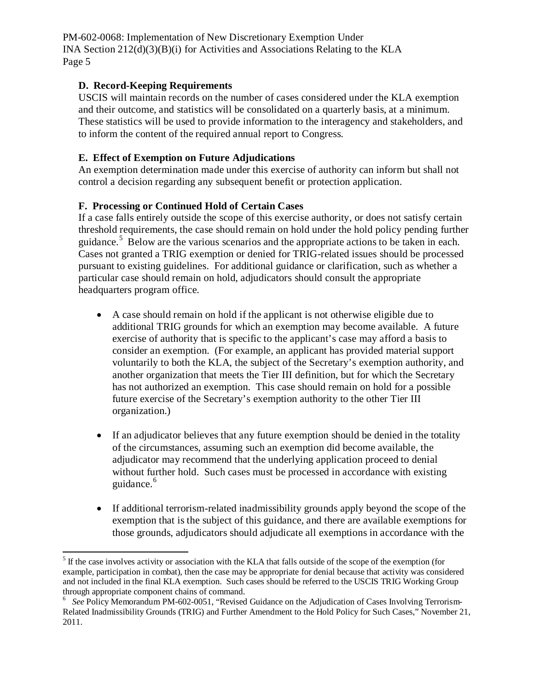#### **D. Record-Keeping Requirements**

USCIS will maintain records on the number of cases considered under the KLA exemption and their outcome, and statistics will be consolidated on a quarterly basis, at a minimum. These statistics will be used to provide information to the interagency and stakeholders, and to inform the content of the required annual report to Congress.

#### **E. Effect of Exemption on Future Adjudications**

An exemption determination made under this exercise of authority can inform but shall not control a decision regarding any subsequent benefit or protection application.

#### **F. Processing or Continued Hold of Certain Cases**

If a case falls entirely outside the scope of this exercise authority, or does not satisfy certain threshold requirements, the case should remain on hold under the hold policy pending further guidance.<sup>[5](#page-4-0)</sup> Below are the various scenarios and the appropriate actions to be taken in each. Cases not granted a TRIG exemption or denied for TRIG-related issues should be processed pursuant to existing guidelines. For additional guidance or clarification, such as whether a particular case should remain on hold, adjudicators should consult the appropriate headquarters program office.

- A case should remain on hold if the applicant is not otherwise eligible due to additional TRIG grounds for which an exemption may become available. A future exercise of authority that is specific to the applicant's case may afford a basis to consider an exemption. (For example, an applicant has provided material support voluntarily to both the KLA, the subject of the Secretary's exemption authority, and another organization that meets the Tier III definition, but for which the Secretary has not authorized an exemption. This case should remain on hold for a possible future exercise of the Secretary's exemption authority to the other Tier III organization.)
- If an adjudicator believes that any future exemption should be denied in the totality of the circumstances, assuming such an exemption did become available, the adjudicator may recommend that the underlying application proceed to denial without further hold. Such cases must be processed in accordance with existing guidance.<sup>[6](#page-4-1)</sup>
- If additional terrorism-related inadmissibility grounds apply beyond the scope of the exemption that is the subject of this guidance, and there are available exemptions for those grounds, adjudicators should adjudicate all exemptions in accordance with the

<span id="page-4-0"></span><sup>&</sup>lt;sup>5</sup> If the case involves activity or association with the KLA that falls outside of the scope of the exemption (for example, participation in combat), then the case may be appropriate for denial because that activity was considered and not included in the final KLA exemption. Such cases should be referred to the USCIS TRIG Working Group through appropriate component chains of command. <sup>6</sup>

<span id="page-4-1"></span><sup>&</sup>lt;sup>6</sup> See Policy Memorandum PM-602-0051, "Revised Guidance on the Adjudication of Cases Involving Terrorism-Related Inadmissibility Grounds (TRIG) and Further Amendment to the Hold Policy for Such Cases," November 21, 2011.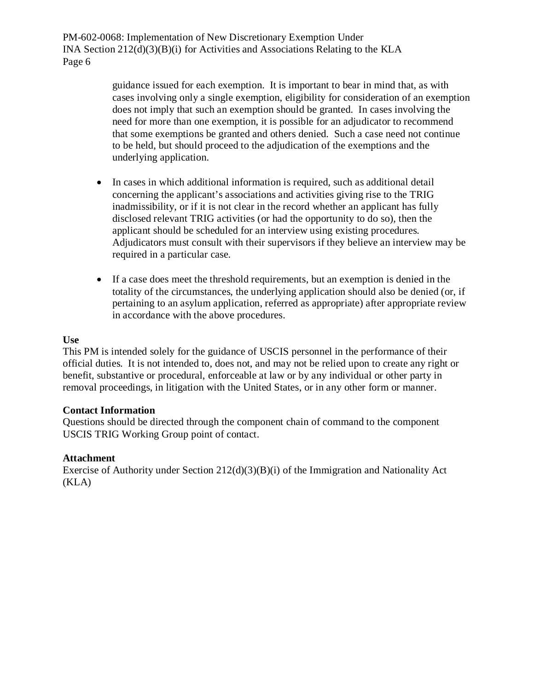> guidance issued for each exemption. It is important to bear in mind that, as with cases involving only a single exemption, eligibility for consideration of an exemption does not imply that such an exemption should be granted. In cases involving the need for more than one exemption, it is possible for an adjudicator to recommend that some exemptions be granted and others denied. Such a case need not continue to be held, but should proceed to the adjudication of the exemptions and the underlying application.

- In cases in which additional information is required, such as additional detail concerning the applicant's associations and activities giving rise to the TRIG inadmissibility, or if it is not clear in the record whether an applicant has fully disclosed relevant TRIG activities (or had the opportunity to do so), then the applicant should be scheduled for an interview using existing procedures. Adjudicators must consult with their supervisors if they believe an interview may be required in a particular case.
- If a case does meet the threshold requirements, but an exemption is denied in the totality of the circumstances, the underlying application should also be denied (or, if pertaining to an asylum application, referred as appropriate) after appropriate review in accordance with the above procedures.

#### **Use**

This PM is intended solely for the guidance of USCIS personnel in the performance of their official duties. It is not intended to, does not, and may not be relied upon to create any right or benefit, substantive or procedural, enforceable at law or by any individual or other party in removal proceedings, in litigation with the United States, or in any other form or manner.

#### **Contact Information**

Questions should be directed through the component chain of command to the component USCIS TRIG Working Group point of contact.

#### **Attachment**

Exercise of Authority under Section 212(d)(3)(B)(i) of the Immigration and Nationality Act (KLA)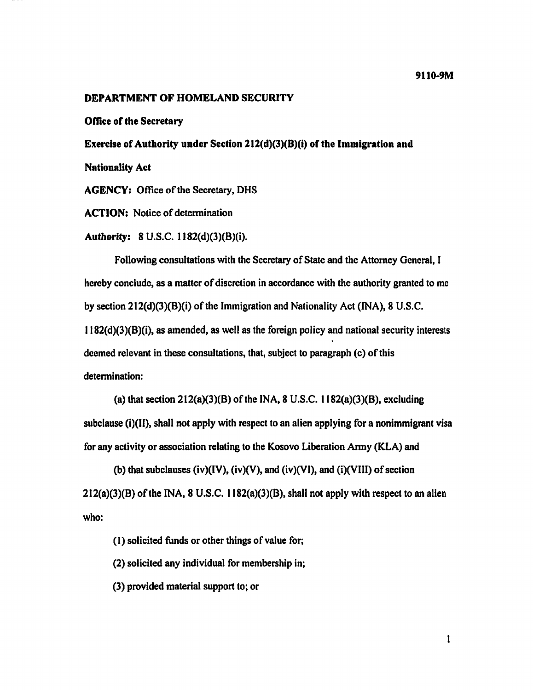#### **DEPARTMENT OF HOMELAND SECURITY**

**Office of the Secretary** 

Exercise of Authority under Section 212(d)(3)(B)(i) of the Immigration and

**Nationality Act** 

**AGENCY:** Office of the Secretary, DHS

**ACTION:** Notice of determination

Authority: 8 U.S.C. 1182(d)(3)(B)(i).

Following consultations with the Secretary of State and the Attorney General. I hereby conclude, as a matter of discretion in accordance with the authority granted to me by section  $212(d)(3)(B)(i)$  of the Immigration and Nationality Act (INA), 8 U.S.C. 1182(d)(3)(B)(i), as amended, as well as the foreign policy and national security interests deemed relevant in these consultations, that, subject to paragraph (c) of this determination:

(a) that section  $212(a)(3)(B)$  of the INA, 8 U.S.C.  $1182(a)(3)(B)$ , excluding subclause (i)(II), shall not apply with respect to an alien applying for a nonimmigrant visa for any activity or association relating to the Kosovo Liberation Army (KLA) and

(b) that subclauses (iv)(IV), (iv)(V), and (iv)(VI), and (i)(VIII) of section  $212(a)(3)(B)$  of the INA, 8 U.S.C.  $1182(a)(3)(B)$ , shall not apply with respect to an alien who:

(1) solicited funds or other things of value for.

(2) solicited any individual for membership in:

(3) provided material support to; or

 $\mathbf{1}$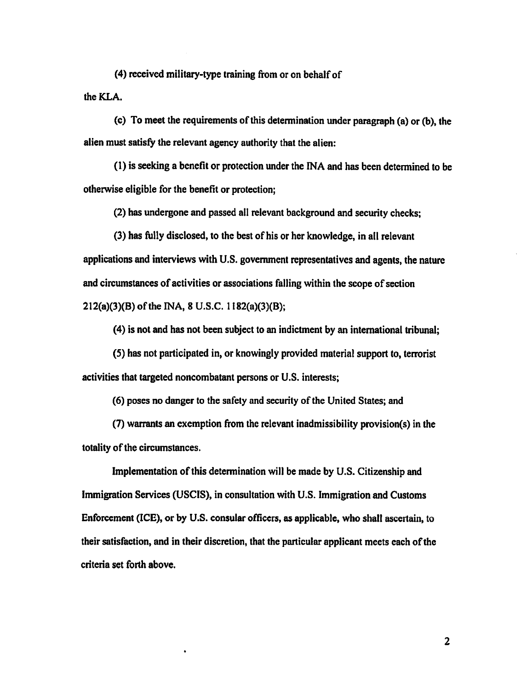(4) received military-type training from or on behalf of the KLA.

(c) To meet the requirements of this determination under paragraph (a) or (b), the alien must satisfy the relevant agency authority that the alien:

(1) is seeking a benefit or protection under the INA and has been determined to be otherwise eligible for the benefit or protection:

(2) has undergone and passed all relevant background and security checks;

(3) has fully disclosed, to the best of his or her knowledge, in all relevant applications and interviews with U.S. government representatives and agents, the nature and circumstances of activities or associations falling within the scope of section  $212(a)(3)(B)$  of the INA, 8 U.S.C.  $1182(a)(3)(B)$ ;

(4) is not and has not been subject to an indictment by an international tribunal;

(5) has not participated in, or knowingly provided material support to, terrorist activities that targeted noncombatant persons or U.S. interests:

(6) poses no danger to the safety and security of the United States; and

(7) warrants an exemption from the relevant inadmissibility provision(s) in the totality of the circumstances.

Implementation of this determination will be made by U.S. Citizenship and Immigration Services (USCIS), in consultation with U.S. Immigration and Customs Enforcement (ICE), or by U.S. consular officers, as applicable, who shall ascertain, to their satisfaction, and in their discretion, that the particular applicant meets each of the criteria set forth above.